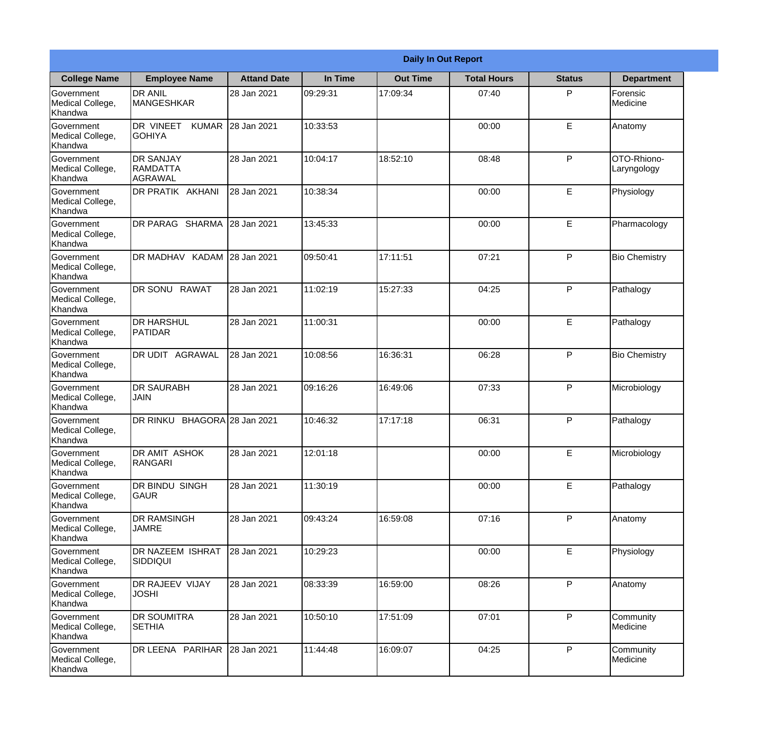|                                                  | <b>Daily In Out Report</b>                     |                     |          |                 |                    |               |                            |  |
|--------------------------------------------------|------------------------------------------------|---------------------|----------|-----------------|--------------------|---------------|----------------------------|--|
| <b>College Name</b>                              | <b>Employee Name</b>                           | <b>Attand Date</b>  | In Time  | <b>Out Time</b> | <b>Total Hours</b> | <b>Status</b> | <b>Department</b>          |  |
| Government<br>Medical College,<br>Khandwa        | <b>DR ANIL</b><br><b>MANGESHKAR</b>            | 28 Jan 2021         | 09:29:31 | 17:09:34        | 07:40              | P             | Forensic<br>Medicine       |  |
| Government<br>Medical College,<br>Khandwa        | DR VINEET<br><b>GOHIYA</b>                     | KUMAR 28 Jan 2021   | 10:33:53 |                 | 00:00              | E             | Anatomy                    |  |
| <b>Government</b><br>Medical College,<br>Khandwa | <b>DR SANJAY</b><br><b>RAMDATTA</b><br>AGRAWAL | 28 Jan 2021         | 10:04:17 | 18:52:10        | 08:48              | P             | OTO-Rhiono-<br>Laryngology |  |
| <b>Government</b><br>Medical College,<br>Khandwa | <b>DR PRATIK AKHANI</b>                        | 28 Jan 2021         | 10:38:34 |                 | 00:00              | E             | Physiology                 |  |
| Government<br>Medical College,<br>Khandwa        | <b>IDR PARAG SHARMA</b>                        | 28 Jan 2021         | 13:45:33 |                 | 00:00              | E             | Pharmacology               |  |
| Government<br>Medical College,<br>Khandwa        | IDR MADHAV KADAM 28 Jan 2021                   |                     | 09:50:41 | 17:11:51        | 07:21              | P             | <b>Bio Chemistry</b>       |  |
| <b>Government</b><br>Medical College,<br>Khandwa | DR SONU RAWAT                                  | 28 Jan 2021         | 11:02:19 | 15:27:33        | 04:25              | P             | Pathalogy                  |  |
| <b>Government</b><br>Medical College,<br>Khandwa | <b>DR HARSHUL</b><br>PATIDAR                   | 28 Jan 2021         | 11:00:31 |                 | 00:00              | E             | Pathalogy                  |  |
| Government<br>Medical College,<br>Khandwa        | <b>DR UDIT AGRAWAL</b>                         | 28 Jan 2021         | 10:08:56 | 16:36:31        | 06:28              | P             | <b>Bio Chemistry</b>       |  |
| Government<br>Medical College,<br>Khandwa        | <b>DR SAURABH</b><br><b>JAIN</b>               | 28 Jan 2021         | 09:16:26 | 16:49:06        | 07:33              | P             | Microbiology               |  |
| Government<br>Medical College,<br>Khandwa        | DR RINKU                                       | BHAGORA 28 Jan 2021 | 10:46:32 | 17:17:18        | 06:31              | P             | Pathalogy                  |  |
| Government<br>Medical College,<br>Khandwa        | DR AMIT ASHOK<br>RANGARI                       | 28 Jan 2021         | 12:01:18 |                 | 00:00              | E             | Microbiology               |  |
| Government<br>Medical College,<br>Khandwa        | DR BINDU SINGH<br>lgaur                        | 28 Jan 2021         | 11:30:19 |                 | 00:00              | E             | Pathalogy                  |  |
| Government<br>Medical College,<br>Khandwa        | <b>DR RAMSINGH</b><br><b>JAMRE</b>             | 28 Jan 2021         | 09:43:24 | 16:59:08        | 07:16              | P             | Anatomy                    |  |
| Government<br>Medical College,<br>Khandwa        | DR NAZEEM ISHRAT<br> SIDDIQUI                  | 28 Jan 2021         | 10:29:23 |                 | 00:00              | E             | Physiology                 |  |
| Government<br>Medical College,<br>Khandwa        | <b>DR RAJEEV VIJAY</b><br><b>JOSHI</b>         | 28 Jan 2021         | 08:33:39 | 16:59:00        | 08:26              | P             | Anatomy                    |  |
| Government<br>Medical College,<br>Khandwa        | <b>DR SOUMITRA</b><br><b>SETHIA</b>            | 28 Jan 2021         | 10:50:10 | 17:51:09        | 07:01              | P             | Community<br>Medicine      |  |
| Government<br>Medical College,<br>Khandwa        | DR LEENA PARIHAR                               | 28 Jan 2021         | 11:44:48 | 16:09:07        | 04:25              | P             | Community<br>Medicine      |  |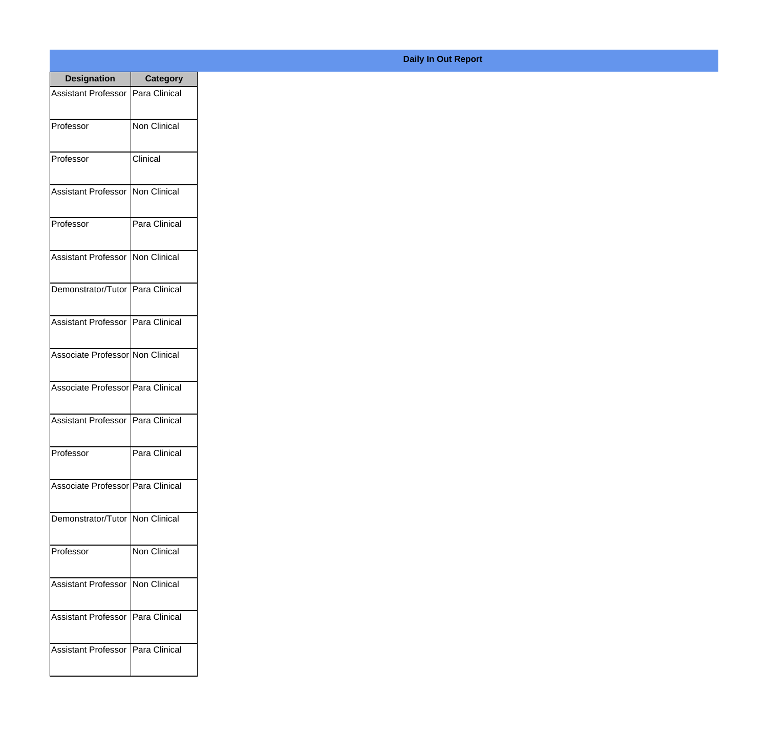| <b>Designation</b>                  | <b>Category</b>     |
|-------------------------------------|---------------------|
| Assistant Professor                 | Para Clinical       |
| Professor                           | <b>Non Clinical</b> |
| Professor                           | Clinical            |
| <b>Assistant Professor</b>          | Non Clinical        |
| Professor                           | Para Clinical       |
| Assistant Professor   Non Clinical  |                     |
| Demonstrator/Tutor   Para Clinical  |                     |
| Assistant Professor   Para Clinical |                     |
| Associate Professor Non Clinical    |                     |
| Associate Professor Para Clinical   |                     |
| Assistant Professor                 | Para Clinical       |
| Professor                           | Para Clinical       |
| Associate Professor Para Clinical   |                     |
| Demonstrator/Tutor   Non Clinical   |                     |
| Professor                           | <b>Non Clinical</b> |
| Assistant Professor                 | Non Clinical        |
| <b>Assistant Professor</b>          | Para Clinical       |
| <b>Assistant Professor</b>          | Para Clinical       |

## **Daily In Out Report**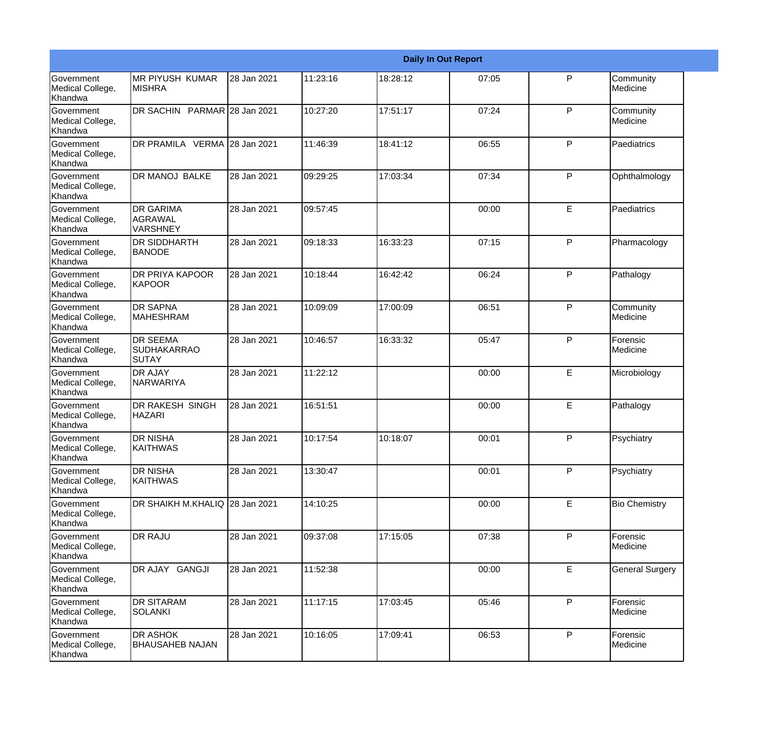|                                                  | <b>Daily In Out Report</b>                      |             |          |          |       |   |                        |  |
|--------------------------------------------------|-------------------------------------------------|-------------|----------|----------|-------|---|------------------------|--|
| Government<br>Medical College,<br>Khandwa        | <b>MR PIYUSH KUMAR</b><br><b>MISHRA</b>         | 28 Jan 2021 | 11:23:16 | 18:28:12 | 07:05 | P | Community<br>Medicine  |  |
| Government<br>Medical College,<br>Khandwa        | DR SACHIN PARMAR 28 Jan 2021                    |             | 10:27:20 | 17:51:17 | 07:24 | P | Community<br>Medicine  |  |
| <b>Government</b><br>Medical College,<br>Khandwa | DR PRAMILA VERMA 28 Jan 2021                    |             | 11:46:39 | 18:41:12 | 06:55 | P | Paediatrics            |  |
| <b>Government</b><br>Medical College,<br>Khandwa | <b>DR MANOJ BALKE</b>                           | 28 Jan 2021 | 09:29:25 | 17:03:34 | 07:34 | P | Ophthalmology          |  |
| <b>Government</b><br>Medical College,<br>Khandwa | <b>DR GARIMA</b><br>AGRAWAL<br>VARSHNEY         | 28 Jan 2021 | 09:57:45 |          | 00:00 | E | Paediatrics            |  |
| Government<br>Medical College,<br><b>Khandwa</b> | <b>DR SIDDHARTH</b><br><b>BANODE</b>            | 28 Jan 2021 | 09:18:33 | 16:33:23 | 07:15 | P | Pharmacology           |  |
| Government<br>Medical College,<br>Khandwa        | <b>DR PRIYA KAPOOR</b><br>KAPOOR                | 28 Jan 2021 | 10:18:44 | 16:42:42 | 06:24 | P | Pathalogy              |  |
| Government<br>Medical College,<br>Khandwa        | <b>DR SAPNA</b><br><b>MAHESHRAM</b>             | 28 Jan 2021 | 10:09:09 | 17:00:09 | 06:51 | P | Community<br>Medicine  |  |
| Government<br>Medical College,<br>Khandwa        | <b>DR SEEMA</b><br><b>SUDHAKARRAO</b><br>ISUTAY | 28 Jan 2021 | 10:46:57 | 16:33:32 | 05:47 | P | Forensic<br>Medicine   |  |
| <b>Government</b><br>Medical College,<br>Khandwa | <b>DR AJAY</b><br><b>NARWARIYA</b>              | 28 Jan 2021 | 11:22:12 |          | 00:00 | E | Microbiology           |  |
| Government<br>Medical College,<br>Khandwa        | <b>DR RAKESH SINGH</b><br><b>HAZARI</b>         | 28 Jan 2021 | 16:51:51 |          | 00:00 | E | Pathalogy              |  |
| Government<br>Medical College,<br>Khandwa        | <b>DR NISHA</b><br><b>KAITHWAS</b>              | 28 Jan 2021 | 10:17:54 | 10:18:07 | 00:01 | P | Psychiatry             |  |
| Government<br>Medical College,<br>Khandwa        | <b>DR NISHA</b><br><b>KAITHWAS</b>              | 28 Jan 2021 | 13:30:47 |          | 00:01 | P | Psychiatry             |  |
| Government<br>Medical College,<br>Khandwa        | DR SHAIKH M.KHALIQ 28 Jan 2021                  |             | 14:10:25 |          | 00:00 | E | <b>Bio Chemistry</b>   |  |
| Government<br>Medical College,<br>Khandwa        | <b>DR RAJU</b>                                  | 28 Jan 2021 | 09:37:08 | 17:15:05 | 07:38 | P | Forensic<br>Medicine   |  |
| Government<br>Medical College,<br>Khandwa        | DR AJAY GANGJI                                  | 28 Jan 2021 | 11:52:38 |          | 00:00 | E | <b>General Surgery</b> |  |
| Government<br>Medical College,<br>Khandwa        | <b>DR SITARAM</b><br>SOLANKI                    | 28 Jan 2021 | 11:17:15 | 17:03:45 | 05:46 | P | Forensic<br>Medicine   |  |
| Government<br>Medical College,<br>Khandwa        | <b>DR ASHOK</b><br><b>BHAUSAHEB NAJAN</b>       | 28 Jan 2021 | 10:16:05 | 17:09:41 | 06:53 | P | Forensic<br>Medicine   |  |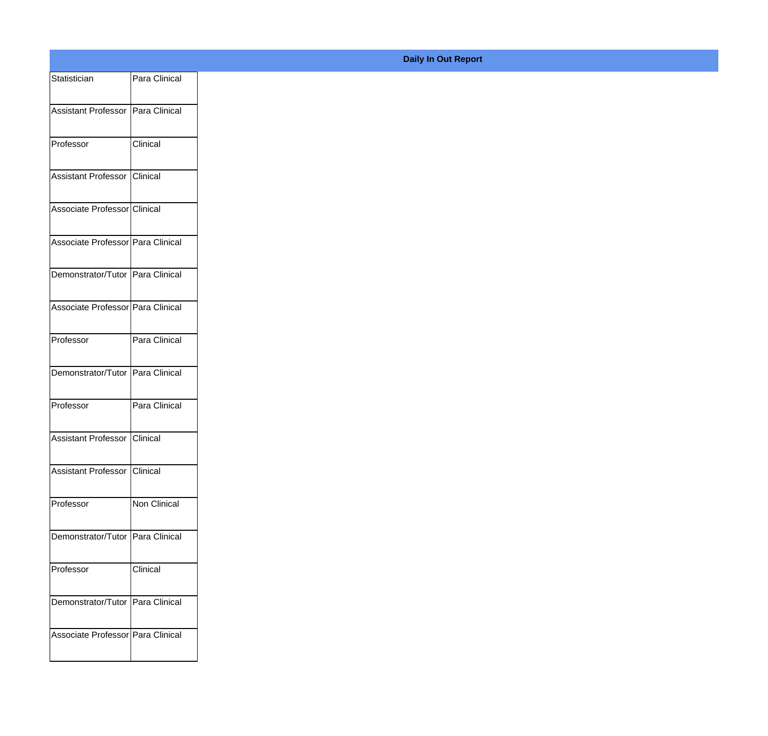| Statistician                       | Para Clinical |
|------------------------------------|---------------|
| Assistant Professor Para Clinical  |               |
| Professor                          | Clinical      |
| Assistant Professor Clinical       |               |
| Associate Professor Clinical       |               |
| Associate Professor Para Clinical  |               |
| Demonstrator/Tutor Para Clinical   |               |
| Associate Professor Para Clinical  |               |
| Professor                          | Para Clinical |
| Demonstrator/Tutor Para Clinical   |               |
| Professor                          | Para Clinical |
| Assistant Professor Clinical       |               |
| Assistant Professor Clinical       |               |
| Professor                          | Non Clinical  |
| Demonstrator/Tutor Para Clinical   |               |
| Professor                          | Clinical      |
| Demonstrator/Tutor   Para Clinical |               |
| Associate Professor Para Clinical  |               |
|                                    |               |